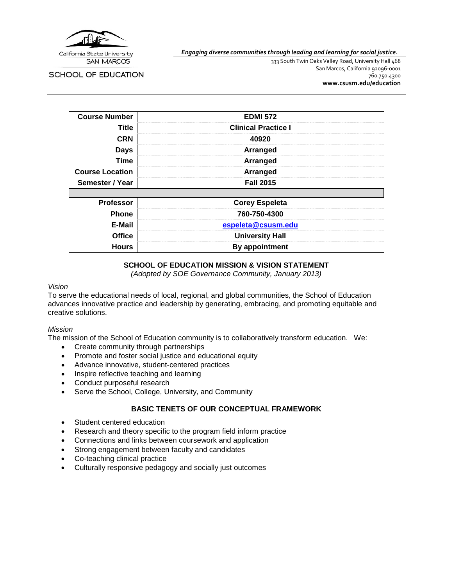

SCHOOL OF EDUCATION

*Engaging diverse communities through leading and learning for social justice.*

333 South Twin Oaks Valley Road, University Hall 468 San Marcos, California 92096-0001 760.750.4300 **[www.csusm.edu/education](http://www.csusm.edu/education)**

| <b>Course Number</b>   | <b>EDMI 572</b>            |  |
|------------------------|----------------------------|--|
| <b>Title</b>           | <b>Clinical Practice I</b> |  |
| <b>CRN</b>             | 40920                      |  |
| <b>Days</b>            | Arranged                   |  |
| <b>Time</b>            | Arranged                   |  |
| <b>Course Location</b> | Arranged                   |  |
| Semester / Year        | <b>Fall 2015</b>           |  |
|                        |                            |  |
| <b>Professor</b>       | <b>Corey Espeleta</b>      |  |
| <b>Phone</b>           | 760-750-4300               |  |
| E-Mail                 | espeleta@csusm.edu         |  |
| <b>Office</b>          | <b>University Hall</b>     |  |
| <b>Hours</b>           | By appointment             |  |

## **SCHOOL OF EDUCATION MISSION & VISION STATEMENT**

*(Adopted by SOE Governance Community, January 2013)*

#### *Vision*

To serve the educational needs of local, regional, and global communities, the School of Education advances innovative practice and leadership by generating, embracing, and promoting equitable and creative solutions.

## *Mission*

The mission of the School of Education community is to collaboratively transform education. We:

- Create community through partnerships
- Promote and foster social justice and educational equity
- Advance innovative, student-centered practices
- Inspire reflective teaching and learning
- Conduct purposeful research
- Serve the School, College, University, and Community

# **BASIC TENETS OF OUR CONCEPTUAL FRAMEWORK**

- Student centered education
- Research and theory specific to the program field inform practice
- Connections and links between coursework and application
- Strong engagement between faculty and candidates
- Co-teaching clinical practice
- Culturally responsive pedagogy and socially just outcomes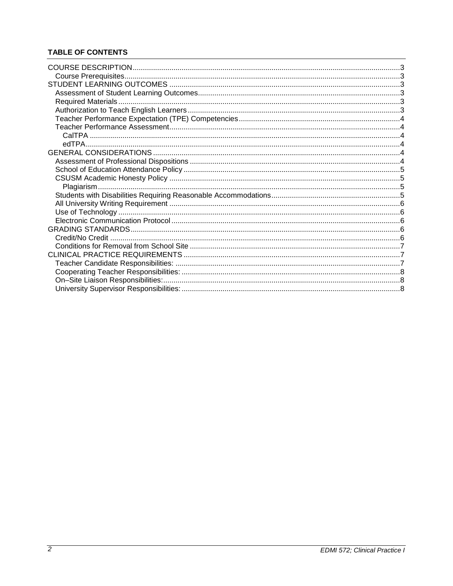# **TABLE OF CONTENTS**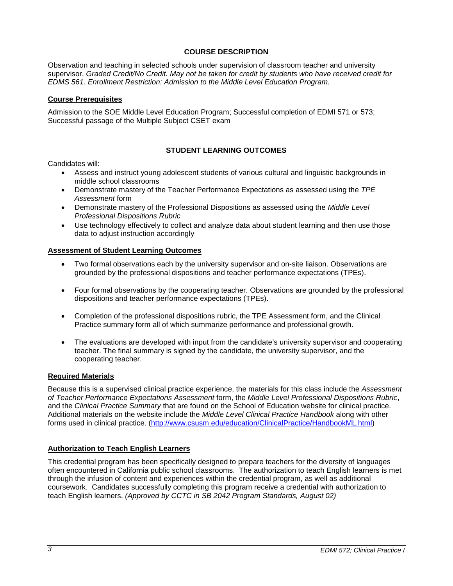## **COURSE DESCRIPTION**

<span id="page-2-0"></span>Observation and teaching in selected schools under supervision of classroom teacher and university supervisor. *Graded Credit/No Credit. May not be taken for credit by students who have received credit for EDMS 561. Enrollment Restriction: Admission to the Middle Level Education Program.*

### <span id="page-2-1"></span>**Course Prerequisites**

Admission to the SOE Middle Level Education Program; Successful completion of EDMI 571 or 573; Successful passage of the Multiple Subject CSET exam

## **STUDENT LEARNING OUTCOMES**

<span id="page-2-2"></span>Candidates will:

- Assess and instruct young adolescent students of various cultural and linguistic backgrounds in middle school classrooms
- Demonstrate mastery of the Teacher Performance Expectations as assessed using the *TPE Assessment* form
- Demonstrate mastery of the Professional Dispositions as assessed using the *Middle Level Professional Dispositions Rubric*
- Use technology effectively to collect and analyze data about student learning and then use those data to adjust instruction accordingly

### <span id="page-2-3"></span>**Assessment of Student Learning Outcomes**

- Two formal observations each by the university supervisor and on-site liaison. Observations are grounded by the professional dispositions and teacher performance expectations (TPEs).
- Four formal observations by the cooperating teacher. Observations are grounded by the professional dispositions and teacher performance expectations (TPEs).
- Completion of the professional dispositions rubric, the TPE Assessment form, and the Clinical Practice summary form all of which summarize performance and professional growth.
- The evaluations are developed with input from the candidate's university supervisor and cooperating teacher. The final summary is signed by the candidate, the university supervisor, and the cooperating teacher.

## <span id="page-2-4"></span>**Required Materials**

Because this is a supervised clinical practice experience, the materials for this class include the *Assessment of Teacher Performance Expectations Assessment* form, the *Middle Level Professional Dispositions Rubric*, and the *Clinical Practice Summary* that are found on the School of Education website for clinical practice. Additional materials on the website include the *Middle Level Clinical Practice Handbook* along with other forms used in clinical practice. [\(http://www.csusm.edu/education/ClinicalPractice/HandbookML.html\)](http://www.csusm.edu/education/ClinicalPractice/HandbookML.html)

## <span id="page-2-5"></span>**Authorization to Teach English Learners**

This credential program has been specifically designed to prepare teachers for the diversity of languages often encountered in California public school classrooms. The authorization to teach English learners is met through the infusion of content and experiences within the credential program, as well as additional coursework. Candidates successfully completing this program receive a credential with authorization to teach English learners. *(Approved by CCTC in SB 2042 Program Standards, August 02)*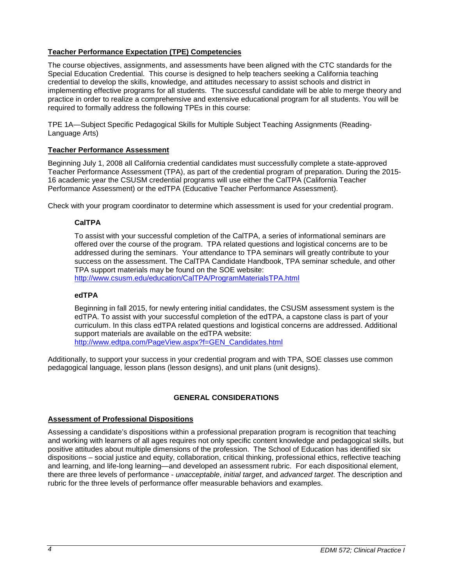## <span id="page-3-0"></span>**Teacher Performance Expectation (TPE) Competencies**

The course objectives, assignments, and assessments have been aligned with the CTC standards for the Special Education Credential. This course is designed to help teachers seeking a California teaching credential to develop the skills, knowledge, and attitudes necessary to assist schools and district in implementing effective programs for all students. The successful candidate will be able to merge theory and practice in order to realize a comprehensive and extensive educational program for all students. You will be required to formally address the following TPEs in this course:

TPE 1A—Subject Specific Pedagogical Skills for Multiple Subject Teaching Assignments (Reading-Language Arts)

### <span id="page-3-1"></span>**Teacher Performance Assessment**

Beginning July 1, 2008 all California credential candidates must successfully complete a state-approved Teacher Performance Assessment (TPA), as part of the credential program of preparation. During the 2015- 16 academic year the CSUSM credential programs will use either the CalTPA (California Teacher Performance Assessment) or the edTPA (Educative Teacher Performance Assessment).

<span id="page-3-2"></span>Check with your program coordinator to determine which assessment is used for your credential program.

### **CalTPA**

To assist with your successful completion of the CalTPA, a series of informational seminars are offered over the course of the program. TPA related questions and logistical concerns are to be addressed during the seminars. Your attendance to TPA seminars will greatly contribute to your success on the assessment. The CalTPA Candidate Handbook, TPA seminar schedule, and other TPA support materials may be found on the SOE website:

<http://www.csusm.edu/education/CalTPA/ProgramMaterialsTPA.html>

#### <span id="page-3-3"></span>**edTPA**

Beginning in fall 2015, for newly entering initial candidates, the CSUSM assessment system is the edTPA. To assist with your successful completion of the edTPA, a capstone class is part of your curriculum. In this class edTPA related questions and logistical concerns are addressed. Additional support materials are available on the edTPA website: [http://www.edtpa.com/PageView.aspx?f=GEN\\_Candidates.html](http://www.edtpa.com/PageView.aspx?f=GEN_Candidates.html)

Additionally, to support your success in your credential program and with TPA, SOE classes use common pedagogical language, lesson plans (lesson designs), and unit plans (unit designs).

## **GENERAL CONSIDERATIONS**

#### <span id="page-3-5"></span><span id="page-3-4"></span>**Assessment of Professional Dispositions**

Assessing a candidate's dispositions within a professional preparation program is recognition that teaching and working with learners of all ages requires not only specific content knowledge and pedagogical skills, but positive attitudes about multiple dimensions of the profession. The School of Education has identified six dispositions – social justice and equity, collaboration, critical thinking, professional ethics, reflective teaching and learning, and life-long learning—and developed an assessment rubric. For each dispositional element, there are three levels of performance - *unacceptable*, *initial target*, and *advanced target*. The description and rubric for the three levels of performance offer measurable behaviors and examples.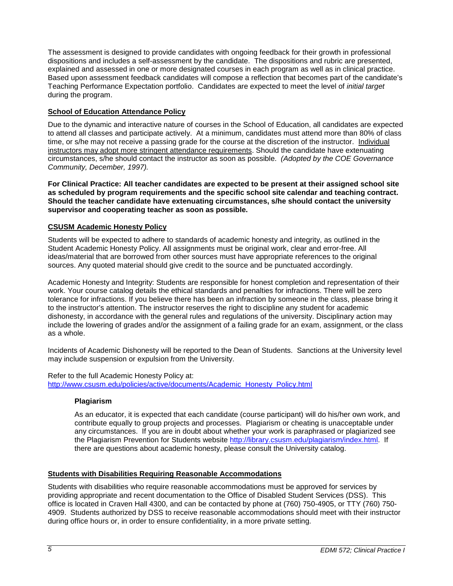The assessment is designed to provide candidates with ongoing feedback for their growth in professional dispositions and includes a self-assessment by the candidate. The dispositions and rubric are presented, explained and assessed in one or more designated courses in each program as well as in clinical practice. Based upon assessment feedback candidates will compose a reflection that becomes part of the candidate's Teaching Performance Expectation portfolio. Candidates are expected to meet the level of *initial target* during the program.

# <span id="page-4-0"></span>**School of Education Attendance Policy**

Due to the dynamic and interactive nature of courses in the School of Education, all candidates are expected to attend all classes and participate actively. At a minimum, candidates must attend more than 80% of class time, or s/he may not receive a passing grade for the course at the discretion of the instructor. Individual instructors may adopt more stringent attendance requirements. Should the candidate have extenuating circumstances, s/he should contact the instructor as soon as possible. *(Adopted by the COE Governance Community, December, 1997).*

**For Clinical Practice: All teacher candidates are expected to be present at their assigned school site as scheduled by program requirements and the specific school site calendar and teaching contract. Should the teacher candidate have extenuating circumstances, s/he should contact the university supervisor and cooperating teacher as soon as possible.** 

## <span id="page-4-1"></span>**CSUSM Academic Honesty Policy**

Students will be expected to adhere to standards of academic honesty and integrity, as outlined in the Student Academic Honesty Policy. All assignments must be original work, clear and error-free. All ideas/material that are borrowed from other sources must have appropriate references to the original sources. Any quoted material should give credit to the source and be punctuated accordingly.

Academic Honesty and Integrity: Students are responsible for honest completion and representation of their work. Your course catalog details the ethical standards and penalties for infractions. There will be zero tolerance for infractions. If you believe there has been an infraction by someone in the class, please bring it to the instructor's attention. The instructor reserves the right to discipline any student for academic dishonesty, in accordance with the general rules and regulations of the university. Disciplinary action may include the lowering of grades and/or the assignment of a failing grade for an exam, assignment, or the class as a whole.

Incidents of Academic Dishonesty will be reported to the Dean of Students. Sanctions at the University level may include suspension or expulsion from the University.

<span id="page-4-2"></span>Refer to the full Academic Honesty Policy at: [http://www.csusm.edu/policies/active/documents/Academic\\_Honesty\\_Policy.html](http://www.csusm.edu/policies/active/documents/Academic_Honesty_Policy.html)

## **Plagiarism**

As an educator, it is expected that each candidate (course participant) will do his/her own work, and contribute equally to group projects and processes. Plagiarism or cheating is unacceptable under any circumstances. If you are in doubt about whether your work is paraphrased or plagiarized see the Plagiarism Prevention for Students website [http://library.csusm.edu/plagiarism/index.html.](http://library.csusm.edu/plagiarism/index.html) If there are questions about academic honesty, please consult the University catalog.

## <span id="page-4-3"></span>**Students with Disabilities Requiring Reasonable Accommodations**

Students with disabilities who require reasonable accommodations must be approved for services by providing appropriate and recent documentation to the Office of Disabled Student Services (DSS). This office is located in Craven Hall 4300, and can be contacted by phone at (760) 750-4905, or TTY (760) 750- 4909. Students authorized by DSS to receive reasonable accommodations should meet with their instructor during office hours or, in order to ensure confidentiality, in a more private setting.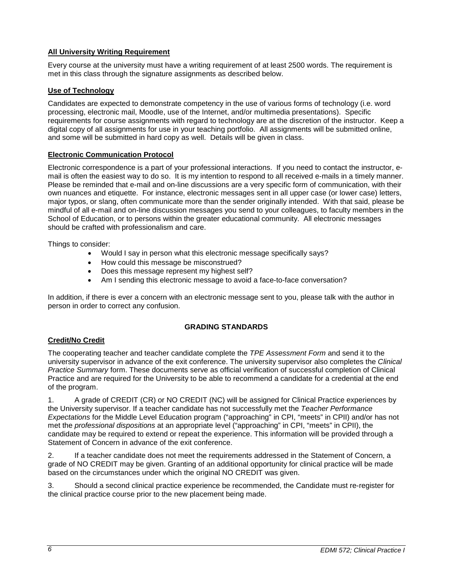# <span id="page-5-0"></span>**All University Writing Requirement**

Every course at the university must have a writing requirement of at least 2500 words. The requirement is met in this class through the signature assignments as described below.

## <span id="page-5-1"></span>**Use of Technology**

Candidates are expected to demonstrate competency in the use of various forms of technology (i.e. word processing, electronic mail, Moodle, use of the Internet, and/or multimedia presentations). Specific requirements for course assignments with regard to technology are at the discretion of the instructor. Keep a digital copy of all assignments for use in your teaching portfolio. All assignments will be submitted online, and some will be submitted in hard copy as well. Details will be given in class.

## <span id="page-5-2"></span>**Electronic Communication Protocol**

Electronic correspondence is a part of your professional interactions. If you need to contact the instructor, email is often the easiest way to do so. It is my intention to respond to all received e-mails in a timely manner. Please be reminded that e-mail and on-line discussions are a very specific form of communication, with their own nuances and etiquette. For instance, electronic messages sent in all upper case (or lower case) letters, major typos, or slang, often communicate more than the sender originally intended. With that said, please be mindful of all e-mail and on-line discussion messages you send to your colleagues, to faculty members in the School of Education, or to persons within the greater educational community. All electronic messages should be crafted with professionalism and care.

Things to consider:

- Would I say in person what this electronic message specifically says?
- How could this message be misconstrued?
- Does this message represent my highest self?
- Am I sending this electronic message to avoid a face-to-face conversation?

In addition, if there is ever a concern with an electronic message sent to you, please talk with the author in person in order to correct any confusion.

## **GRADING STANDARDS**

# <span id="page-5-4"></span><span id="page-5-3"></span>**Credit/No Credit**

The cooperating teacher and teacher candidate complete the *TPE Assessment Form* and send it to the university supervisor in advance of the exit conference. The university supervisor also completes the *Clinical Practice Summary* form. These documents serve as official verification of successful completion of Clinical Practice and are required for the University to be able to recommend a candidate for a credential at the end of the program.

1. A grade of CREDIT (CR) or NO CREDIT (NC) will be assigned for Clinical Practice experiences by the University supervisor. If a teacher candidate has not successfully met the *Teacher Performance Expectations* for the Middle Level Education program ("approaching" in CPI, "meets" in CPII) and/or has not met the *professional dispositions* at an appropriate level ("approaching" in CPI, "meets" in CPII), the candidate may be required to extend or repeat the experience. This information will be provided through a Statement of Concern in advance of the exit conference.

2. If a teacher candidate does not meet the requirements addressed in the Statement of Concern, a grade of NO CREDIT may be given. Granting of an additional opportunity for clinical practice will be made based on the circumstances under which the original NO CREDIT was given.

3. Should a second clinical practice experience be recommended, the Candidate must re-register for the clinical practice course prior to the new placement being made.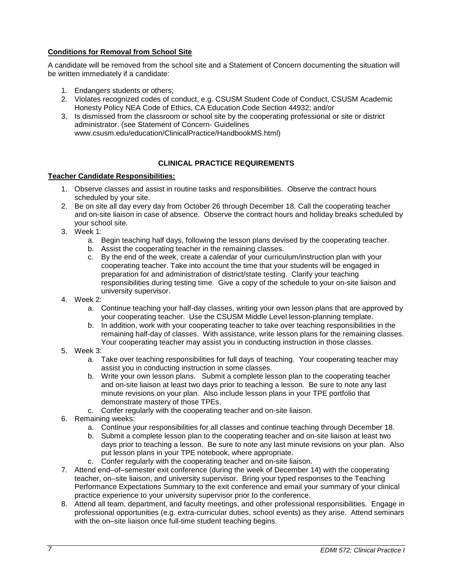## <span id="page-6-0"></span>**Conditions for Removal from School Site**

A candidate will be removed from the school site and a Statement of Concern documenting the situation will be written immediately if a candidate:

- 1. Endangers students or others;
- 2. Violates recognized codes of conduct, e.g. CSUSM Student Code of Conduct, CSUSM Academic Honesty Policy NEA Code of Ethics, CA Education Code Section 44932; and/or
- 3. Is dismissed from the classroom or school site by the cooperating professional or site or district administrator. (see Statement of Concern- Guidelines www.csusm.edu/education/ClinicalPractice/HandbookMS.html)

## **CLINICAL PRACTICE REQUIREMENTS**

### <span id="page-6-2"></span><span id="page-6-1"></span>**Teacher Candidate Responsibilities:**

- 1. Observe classes and assist in routine tasks and responsibilities. Observe the contract hours scheduled by your site.
- 2. Be on site all day every day from October 26 through December 18. Call the cooperating teacher and on-site liaison in case of absence. Observe the contract hours and holiday breaks scheduled by your school site.
- 3. Week 1:
	- a. Begin teaching half days, following the lesson plans devised by the cooperating teacher.
	- b. Assist the cooperating teacher in the remaining classes.
	- c. By the end of the week, create a calendar of your curriculum/instruction plan with your cooperating teacher. Take into account the time that your students will be engaged in preparation for and administration of district/state testing. Clarify your teaching responsibilities during testing time. Give a copy of the schedule to your on-site liaison and university supervisor.
- 4. Week 2:
	- a. Continue teaching your half-day classes, writing your own lesson plans that are approved by your cooperating teacher. Use the CSUSM Middle Level lesson-planning template.
	- b. In addition, work with your cooperating teacher to take over teaching responsibilities in the remaining half-day of classes. With assistance, write lesson plans for the remaining classes. Your cooperating teacher may assist you in conducting instruction in those classes.
- 5. Week 3:
	- a. Take over teaching responsibilities for full days of teaching. Your cooperating teacher may assist you in conducting instruction in some classes.
	- b. Write your own lesson plans. Submit a complete lesson plan to the cooperating teacher and on-site liaison at least two days prior to teaching a lesson. Be sure to note any last minute revisions on your plan. Also include lesson plans in your TPE portfolio that demonstrate mastery of those TPEs.
	- c. Confer regularly with the cooperating teacher and on-site liaison.
- 6. Remaining weeks:
	- a. Continue your responsibilities for all classes and continue teaching through December 18.
	- b. Submit a complete lesson plan to the cooperating teacher and on-site liaison at least two days prior to teaching a lesson. Be sure to note any last minute revisions on your plan. Also put lesson plans in your TPE notebook, where appropriate.
	- c. Confer regularly with the cooperating teacher and on-site liaison.
- 7. Attend end–of–semester exit conference (during the week of December 14) with the cooperating teacher, on–site liaison, and university supervisor. Bring your typed responses to the Teaching Performance Expectations Summary to the exit conference and email your summary of your clinical practice experience to your university supervisor prior to the conference.
- 8. Attend all team, department, and faculty meetings, and other professional responsibilities. Engage in professional opportunities (e.g. extra-curricular duties, school events) as they arise. Attend seminars with the on–site liaison once full-time student teaching begins.